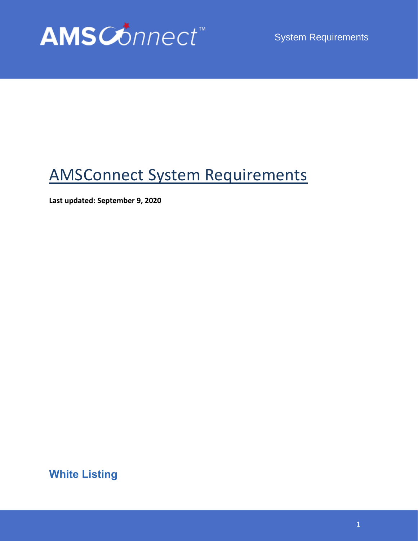

System Requirements

## AMSConnect System Requirements

**Last updated: September 9, 2020**

**White Listing**